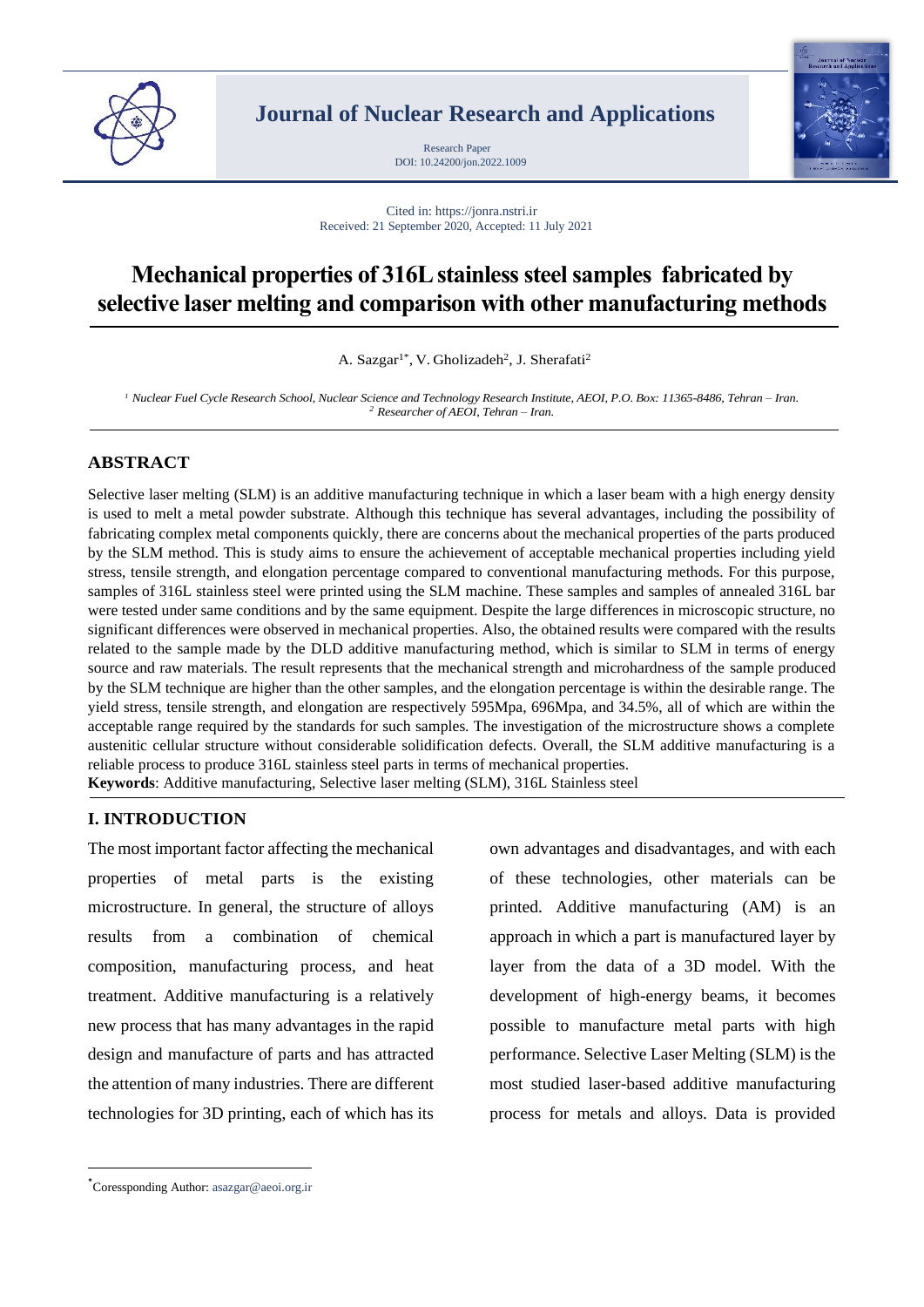

**Journal of Nuclear Research and Applications**

DOI: 10.24200/jon.2022.1009 Research Paper



Cited in: https://jonra.nstri.ir Received: 21 September 2020, Accepted: 11 July 2021

# **Mechanical properties of 316L stainless steel samples fabricated by selective laser melting and comparison with other manufacturing methods**

A. Sazgar<sup>1\*</sup>, V. Gholizadeh<sup>2</sup>, J. Sherafati<sup>2</sup>

*<sup>1</sup> Nuclear Fuel Cycle Research School, Nuclear Science and Technology Research Institute, AEOI, P.O. Box: 11365-8486, Tehran – Iran. <sup>2</sup> Researcher of AEOI, Tehran – Iran.*

### **ABSTRACT**

Selective laser melting (SLM) is an additive manufacturing technique in which a laser beam with a high energy density is used to melt a metal powder substrate. Although this technique has several advantages, including the possibility of fabricating complex metal components quickly, there are concerns about the mechanical properties of the parts produced by the SLM method. This is study aims to ensure the achievement of acceptable mechanical properties including yield stress, tensile strength, and elongation percentage compared to conventional manufacturing methods. For this purpose, samples of 316L stainless steel were printed using the SLM machine. These samples and samples of annealed 316L bar were tested under same conditions and by the same equipment. Despite the large differences in microscopic structure, no significant differences were observed in mechanical properties. Also, the obtained results were compared with the results related to the sample made by the DLD additive manufacturing method, which is similar to SLM in terms of energy source and raw materials. The result represents that the mechanical strength and microhardness of the sample produced by the SLM technique are higher than the other samples, and the elongation percentage is within the desirable range. The yield stress, tensile strength, and elongation are respectively 595Mpa, 696Mpa, and 34.5%, all of which are within the acceptable range required by the standards for such samples. The investigation of the microstructure shows a complete austenitic cellular structure without considerable solidification defects. Overall, the SLM additive manufacturing is a reliable process to produce 316L stainless steel parts in terms of mechanical properties. **Keywords**: Additive manufacturing, Selective laser melting (SLM), 316L Stainless steel

**I. INTRODUCTION**

The most important factor affecting the mechanical properties of metal parts is the existing microstructure. In general, the structure of alloys results from a combination of chemical composition, manufacturing process, and heat treatment. Additive manufacturing is a relatively new process that has many advantages in the rapid design and manufacture of parts and has attracted the attention of many industries. There are different technologies for 3D printing, each of which has its

own advantages and disadvantages, and with each of these technologies, other materials can be printed. Additive manufacturing (AM) is an approach in which a part is manufactured layer by layer from the data of a 3D model. With the development of high-energy beams, it becomes possible to manufacture metal parts with high performance. Selective Laser Melting (SLM) is the most studied laser-based additive manufacturing process for metals and alloys. Data is provided

<sup>\*</sup>Coressponding Author: asazgar@aeoi.org.ir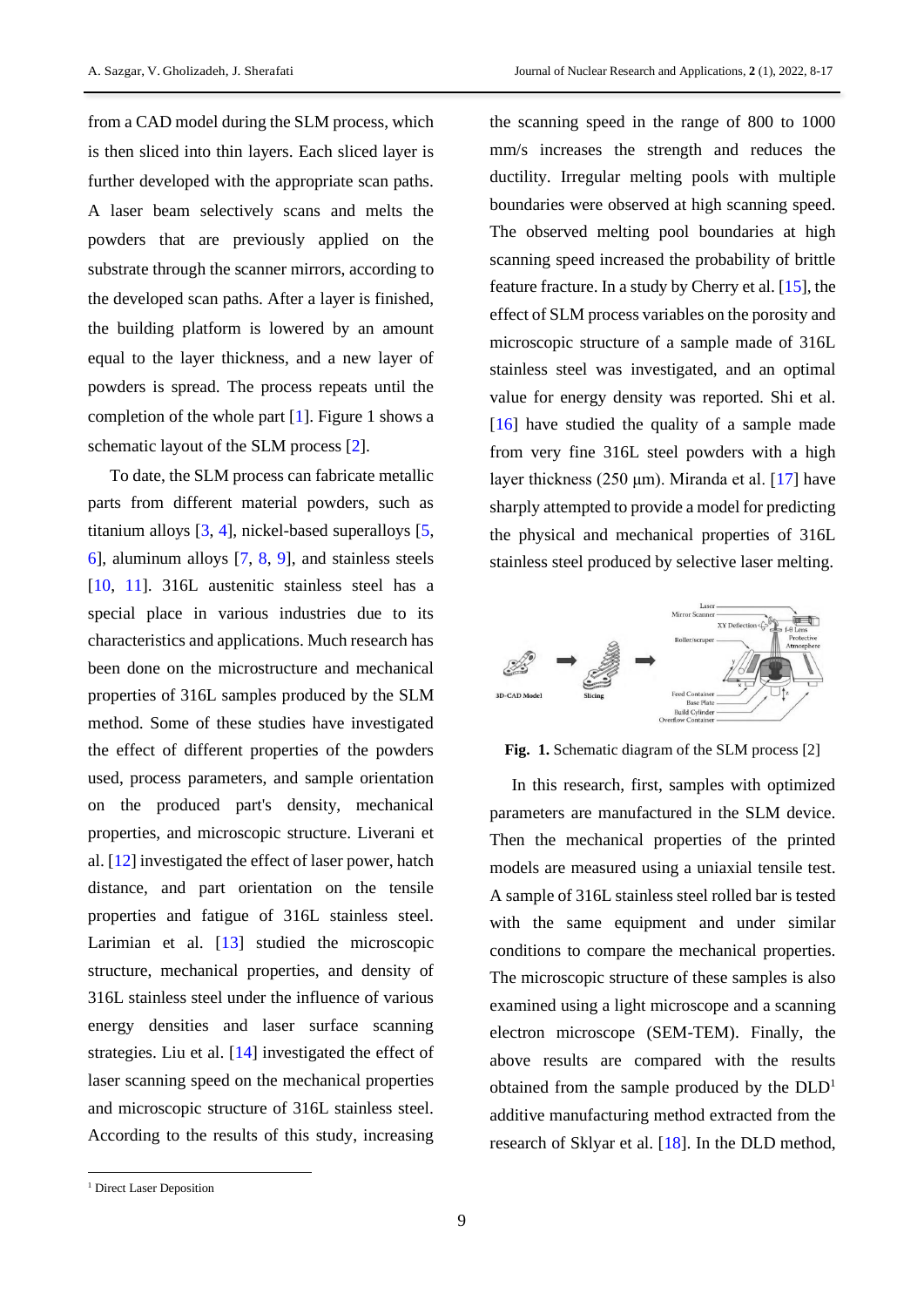from a CAD model during the SLM process, which is then sliced into thin layers. Each sliced layer is further developed with the appropriate scan paths. A laser beam selectively scans and melts the powders that are previously applied on the substrate through the scanner mirrors, according to the developed scan paths. After a layer is finished, the building platform is lowered by an amount equal to the layer thickness, and a new layer of powders is spread. The process repeats until the completion of the whole part [\[1\]](#page-8-0). Figure 1 shows a schematic layout of the SLM process [\[2\]](#page-8-1).

To date, the SLM process can fabricate metallic parts from different material powders, such as titanium alloys [\[3,](#page-8-2) [4\]](#page-8-3), nickel-based superalloys [\[5,](#page-8-4) [6\]](#page-8-5), aluminum alloys [\[7,](#page-9-0) [8,](#page-9-1) [9\]](#page-9-2), and stainless steels [\[10,](#page-9-3) [11\]](#page-9-4). 316L austenitic stainless steel has a special place in various industries due to its characteristics and applications. Much research has been done on the microstructure and mechanical properties of 316L samples produced by the SLM method. Some of these studies have investigated the effect of different properties of the powders used, process parameters, and sample orientation on the produced part's density, mechanical properties, and microscopic structure. Liverani et al. [\[12\]](#page-9-5) investigated the effect of laser power, hatch distance, and part orientation on the tensile properties and fatigue of 316L stainless steel. Larimian et al. [\[13\]](#page-9-6) studied the microscopic structure, mechanical properties, and density of 316L stainless steel under the influence of various energy densities and laser surface scanning strategies. Liu et al. [\[14\]](#page-9-7) investigated the effect of laser scanning speed on the mechanical properties and microscopic structure of 316L stainless steel. According to the results of this study, increasing the scanning speed in the range of 800 to 1000 mm/s increases the strength and reduces the ductility. Irregular melting pools with multiple boundaries were observed at high scanning speed. The observed melting pool boundaries at high scanning speed increased the probability of brittle feature fracture. In a study by Cherry et al. [\[15\]](#page-9-8), the effect of SLM process variables on the porosity and microscopic structure of a sample made of 316L stainless steel was investigated, and an optimal value for energy density was reported. Shi et al. [\[16\]](#page-9-9) have studied the quality of a sample made from very fine 316L steel powders with a high layer thickness (250 μm). Miranda et al. [\[17\]](#page-9-10) have sharply attempted to provide a model for predicting the physical and mechanical properties of 316L stainless steel produced by selective laser melting.



**Fig. 1.** Schematic diagram of the SLM process [2]

In this research, first, samples with optimized parameters are manufactured in the SLM device. Then the mechanical properties of the printed models are measured using a uniaxial tensile test. A sample of 316L stainless steel rolled bar is tested with the same equipment and under similar conditions to compare the mechanical properties. The microscopic structure of these samples is also examined using a light microscope and a scanning electron microscope (SEM-TEM). Finally, the above results are compared with the results obtained from the sample produced by the DLD<sup>1</sup> additive manufacturing method extracted from the research of Sklyar et al. [\[18\]](#page-9-11). In the DLD method,

A. Sazgar, V. Gholizadeh, J. Sherafati Journal of Nuclear Research and Applications, 2 (1), 2022, 8-17

<sup>&</sup>lt;sup>1</sup> Direct Laser Deposition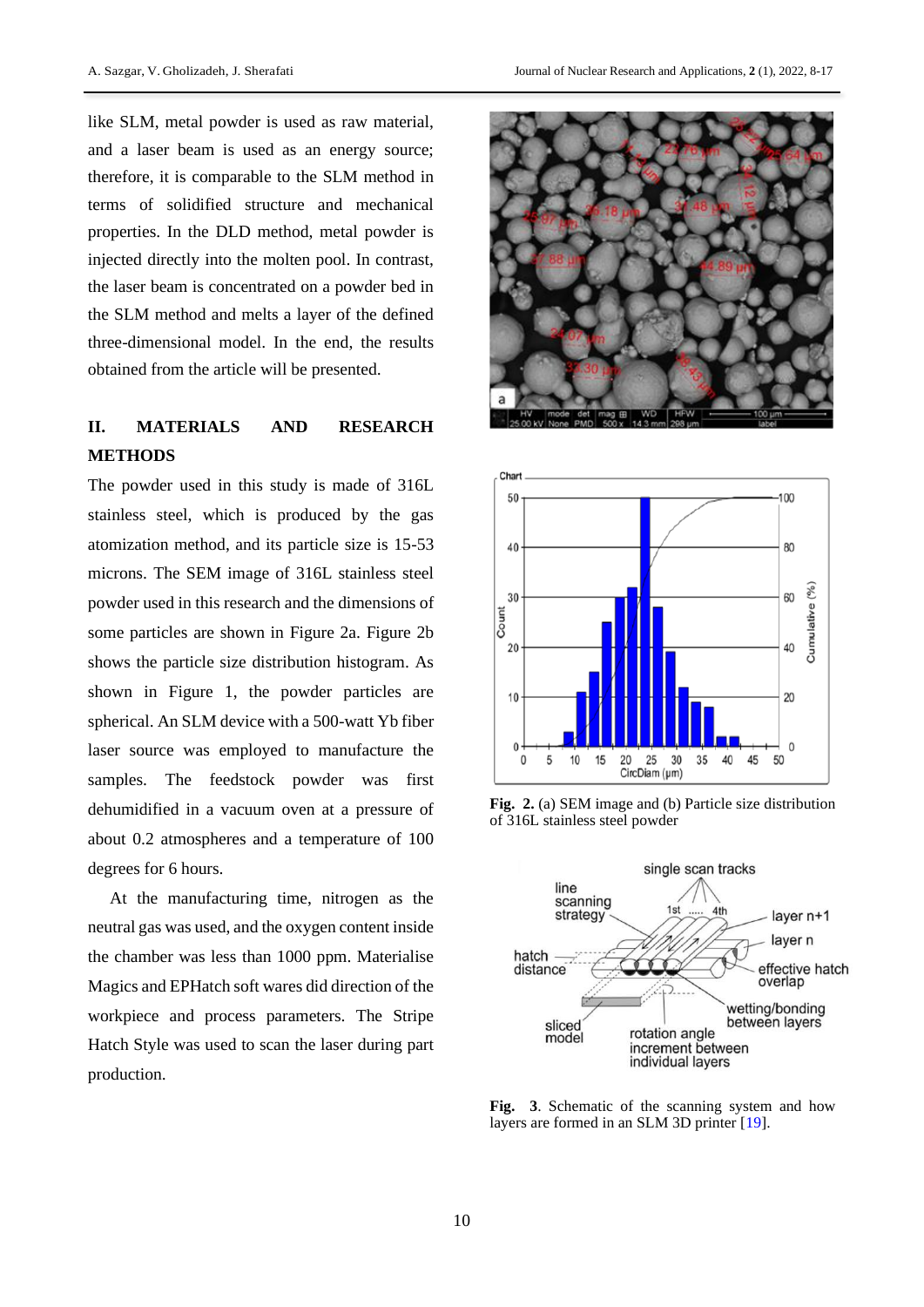like SLM, metal powder is used as raw material, and a laser beam is used as an energy source; therefore, it is comparable to the SLM method in terms of solidified structure and mechanical properties. In the DLD method, metal powder is injected directly into the molten pool. In contrast, the laser beam is concentrated on a powder bed in the SLM method and melts a layer of the defined three-dimensional model. In the end, the results obtained from the article will be presented.

# **II. MATERIALS AND RESEARCH METHODS**

The powder used in this study is made of 316L stainless steel, which is produced by the gas atomization method, and its particle size is 15-53 microns. The SEM image of 316L stainless steel powder used in this research and the dimensions of some particles are shown in Figure 2a. Figure 2b shows the particle size distribution histogram. As shown in Figure 1, the powder particles are spherical. An SLM device with a 500-watt Yb fiber laser source was employed to manufacture the samples. The feedstock powder was first dehumidified in a vacuum oven at a pressure of about 0.2 atmospheres and a temperature of 100 degrees for 6 hours.

At the manufacturing time, nitrogen as the neutral gas was used, and the oxygen content inside the chamber was less than 1000 ppm. Materialise Magics and EPHatch soft wares did direction of the workpiece and process parameters. The Stripe Hatch Style was used to scan the laser during part production.





**Fig. 2.** (a) SEM image and (b) Particle size distribution of 316L stainless steel powder



**Fig. 3**. Schematic of the scanning system and how layers are formed in an SLM 3D printer [\[19\]](#page-9-12).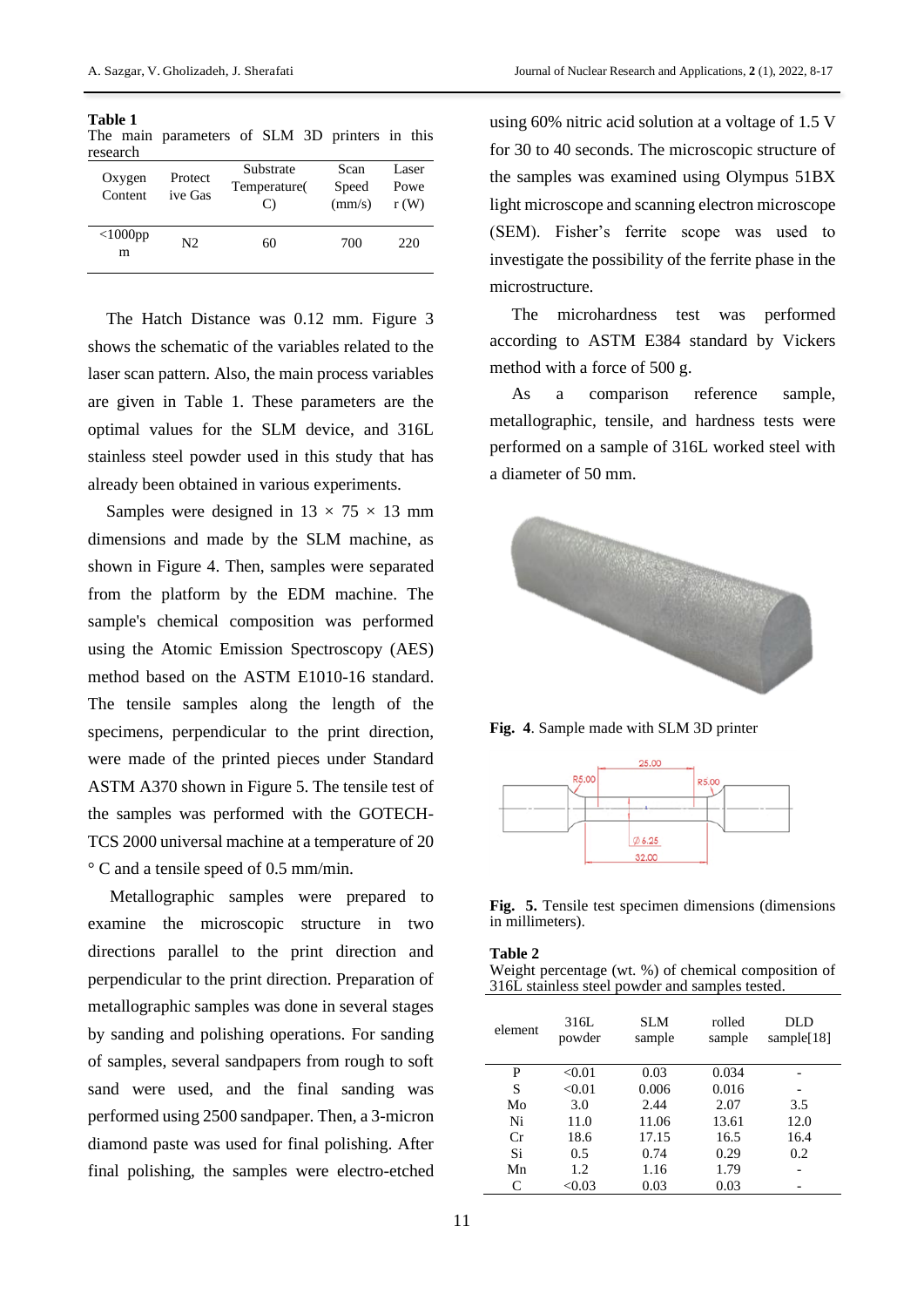| Table 1<br>research | The main parameters of SLM 3D printers in this |              |  |       |       |  |
|---------------------|------------------------------------------------|--------------|--|-------|-------|--|
|                     | Oxygen Protect                                 | Substrate    |  | Scan  | Laser |  |
|                     |                                                | Temperature( |  | Speed | Powe  |  |

| Oxygen          | <b>Protect</b> | Temperature( | Speed  | Powe |
|-----------------|----------------|--------------|--------|------|
| Content         | ive Gas        | $\bigcirc$   | (mm/s) | r(W) |
| $<$ 1000pp<br>m | N2.            | 60           | 700    | 220  |

The Hatch Distance was 0.12 mm. Figure 3 shows the schematic of the variables related to the laser scan pattern. Also, the main process variables are given in Table 1. These parameters are the optimal values for the SLM device, and 316L stainless steel powder used in this study that has already been obtained in various experiments.

Samples were designed in  $13 \times 75 \times 13$  mm dimensions and made by the SLM machine, as shown in Figure 4. Then, samples were separated from the platform by the EDM machine. The sample's chemical composition was performed using the Atomic Emission Spectroscopy (AES) method based on the ASTM E1010-16 standard. The tensile samples along the length of the specimens, perpendicular to the print direction, were made of the printed pieces under Standard ASTM A370 shown in Figure 5. The tensile test of the samples was performed with the GOTECH-TCS 2000 universal machine at a temperature of 20 ° C and a tensile speed of 0.5 mm/min.

Metallographic samples were prepared to examine the microscopic structure in two directions parallel to the print direction and perpendicular to the print direction. Preparation of metallographic samples was done in several stages by sanding and polishing operations. For sanding of samples, several sandpapers from rough to soft sand were used, and the final sanding was performed using 2500 sandpaper. Then, a 3-micron diamond paste was used for final polishing. After final polishing, the samples were electro-etched

using 60% nitric acid solution at a voltage of 1.5 V for 30 to 40 seconds. The microscopic structure of the samples was examined using Olympus 51BX light microscope and scanning electron microscope (SEM). Fisher's ferrite scope was used to investigate the possibility of the ferrite phase in the microstructure.

The microhardness test was performed according to ASTM E384 standard by Vickers method with a force of 500 g.

As a comparison reference sample, metallographic, tensile, and hardness tests were performed on a sample of 316L worked steel with a diameter of 50 mm.



**Fig. 4**. Sample made with SLM 3D printer



**Fig. 5.** Tensile test specimen dimensions (dimensions in millimeters).

**Table 2**

Weight percentage (wt. %) of chemical composition of 316L stainless steel powder and samples tested.

| element | 316L<br>powder | <b>SLM</b><br>sample | rolled<br>sample | DLD<br>sample $[18]$ |
|---------|----------------|----------------------|------------------|----------------------|
| P       | < 0.01         | 0.03                 | 0.034            |                      |
| S       | < 0.01         | 0.006                | 0.016            |                      |
| Mo      | 3.0            | 2.44                 | 2.07             | 3.5                  |
| Ni      | 11.0           | 11.06                | 13.61            | 12.0                 |
| Сr      | 18.6           | 17.15                | 16.5             | 16.4                 |
| Si      | 0.5            | 0.74                 | 0.29             | 0.2                  |
| Mn      | 1.2.           | 1.16                 | 1.79             |                      |
| C       | $< \!\! 0.03$  | 0.03                 | 0.03             |                      |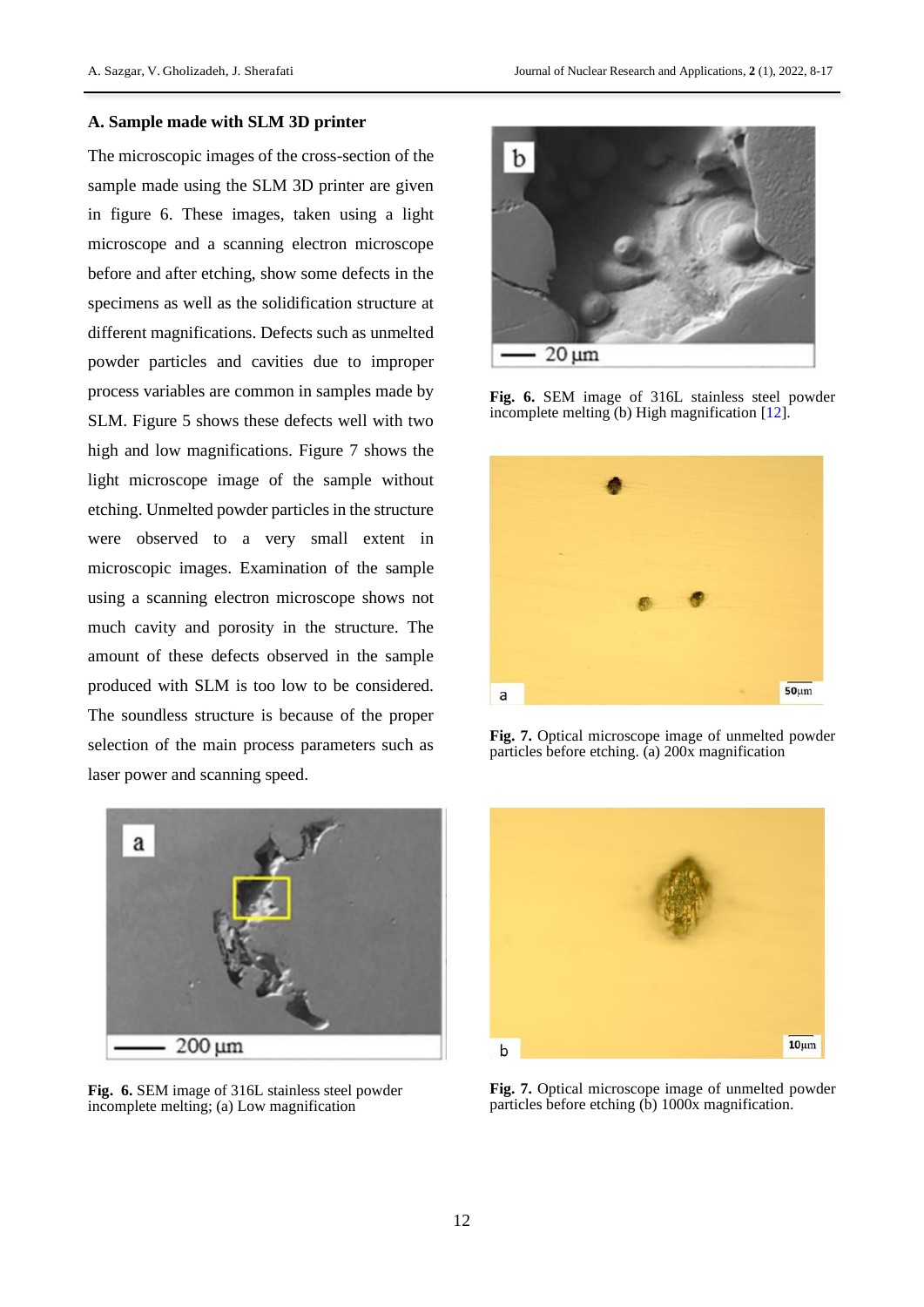### **A. Sample made with SLM 3D printer**

The microscopic images of the cross-section of the sample made using the SLM 3D printer are given in figure 6. These images, taken using a light microscope and a scanning electron microscope before and after etching, show some defects in the specimens as well as the solidification structure at different magnifications. Defects such as unmelted powder particles and cavities due to improper process variables are common in samples made by SLM. Figure 5 shows these defects well with two high and low magnifications. Figure 7 shows the light microscope image of the sample without etching. Unmelted powder particles in the structure were observed to a very small extent in microscopic images. Examination of the sample using a scanning electron microscope shows not much cavity and porosity in the structure. The amount of these defects observed in the sample produced with SLM is too low to be considered. The soundless structure is because of the proper selection of the main process parameters such as laser power and scanning speed.



**Fig. 6.** SEM image of 316L stainless steel powder incomplete melting; (a) Low magnification



**Fig. 6.** SEM image of 316L stainless steel powder incomplete melting (b) High magnification [\[12\]](#page-9-5).



**Fig. 7.** Optical microscope image of unmelted powder particles before etching. (a) 200x magnification



**Fig. 7.** Optical microscope image of unmelted powder particles before etching (b) 1000x magnification.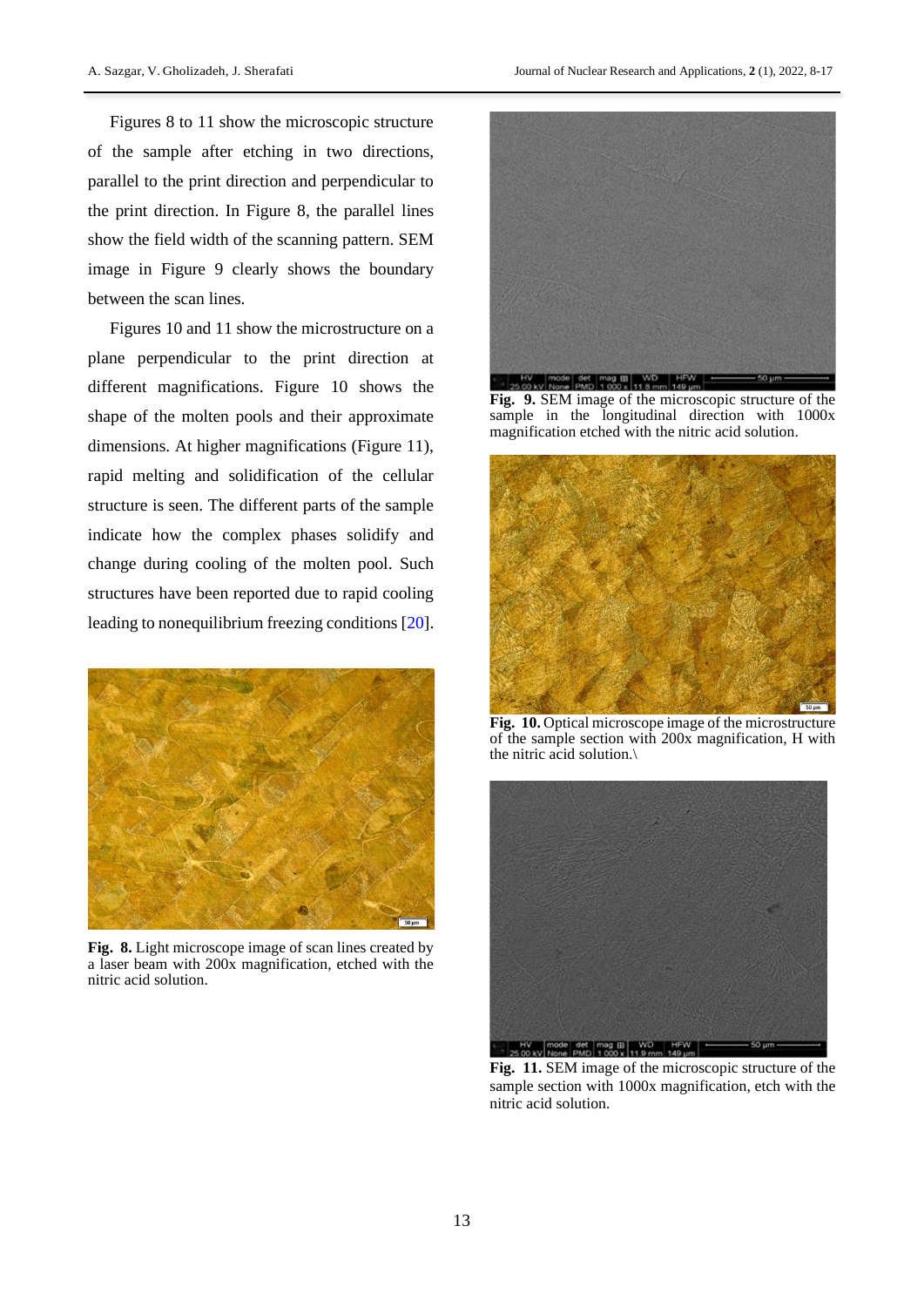Figures 8 to 11 show the microscopic structure of the sample after etching in two directions, parallel to the print direction and perpendicular to the print direction. In Figure 8, the parallel lines show the field width of the scanning pattern. SEM image in Figure 9 clearly shows the boundary between the scan lines.

Figures 10 and 11 show the microstructure on a plane perpendicular to the print direction at different magnifications. Figure 10 shows the shape of the molten pools and their approximate dimensions. At higher magnifications (Figure 11), rapid melting and solidification of the cellular structure is seen. The different parts of the sample indicate how the complex phases solidify and change during cooling of the molten pool. Such structures have been reported due to rapid cooling leading to nonequilibrium freezing conditions [\[20\]](#page-9-13).



**Fig. 8.** Light microscope image of scan lines created by a laser beam with 200x magnification, etched with the nitric acid solution.



**Fig. 9.** SEM image of the microscopic structure of the sample in the longitudinal direction with 1000x magnification etched with the nitric acid solution.



**Fig. 10.** Optical microscope image of the microstructure of the sample section with 200x magnification, H with the nitric acid solution.\



**Fig. 11.** SEM image of the microscopic structure of the sample section with 1000x magnification, etch with the nitric acid solution.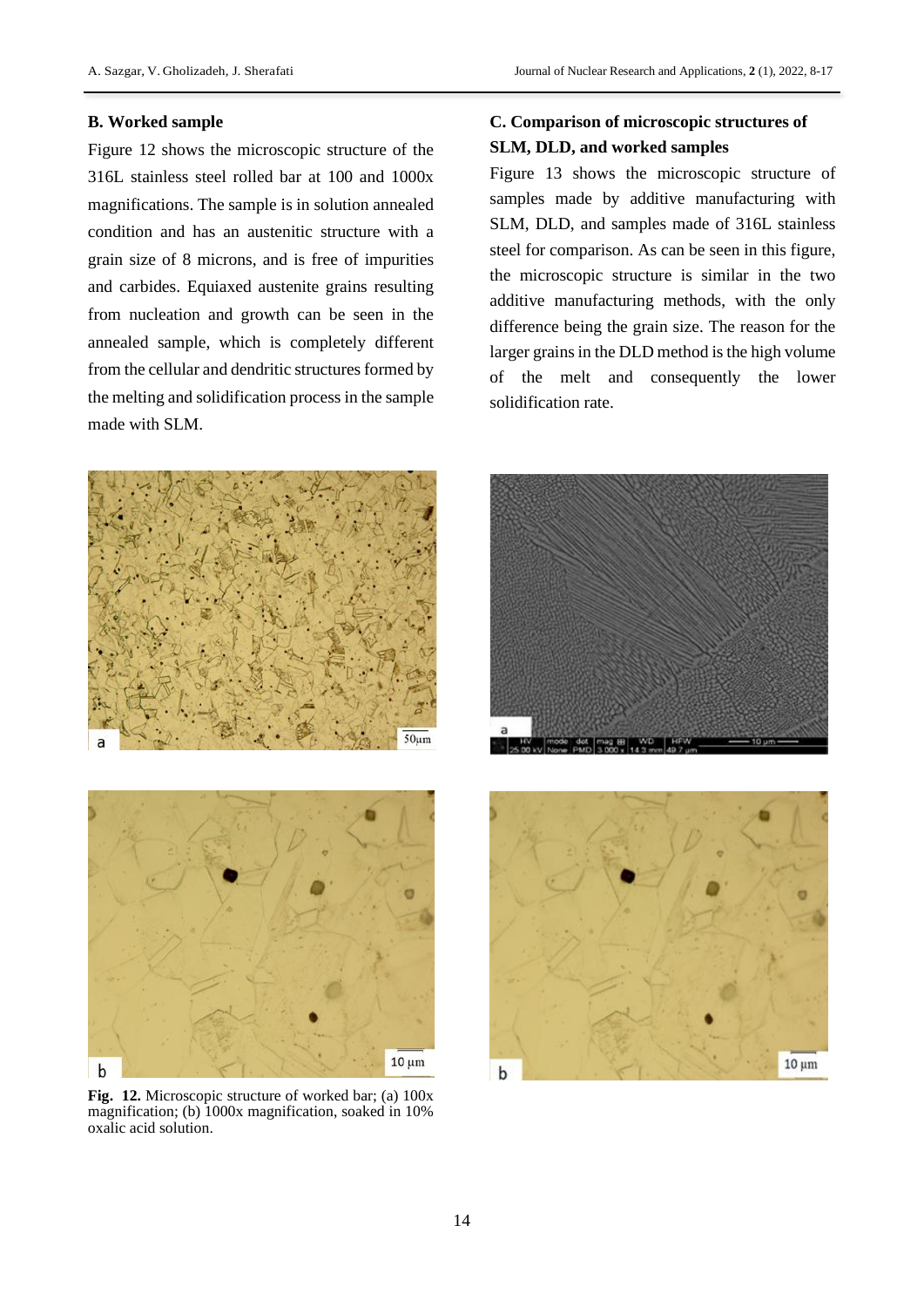### **B. Worked sample**

l

Figure 12 shows the microscopic structure of the 316L stainless steel rolled bar at 100 and 1000x magnifications. The sample is in solution annealed condition and has an austenitic structure with a grain size of 8 microns, and is free of impurities and carbides. Equiaxed austenite grains resulting from nucleation and growth can be seen in the annealed sample, which is completely different from the cellular and dendritic structures formed by the melting and solidification process in the sample made with SLM.





**Fig. 12.** Microscopic structure of worked bar; (a) 100x magnification; (b) 1000x magnification, soaked in 10% oxalic acid solution.

## **C. Comparison of microscopic structures of SLM, DLD, and worked samples**

Figure 13 shows the microscopic structure of samples made by additive manufacturing with SLM, DLD, and samples made of 316L stainless steel for comparison. As can be seen in this figure, the microscopic structure is similar in the two additive manufacturing methods, with the only difference being the grain size. The reason for the larger grains in the DLD method is the high volume of the melt and consequently the lower solidification rate.



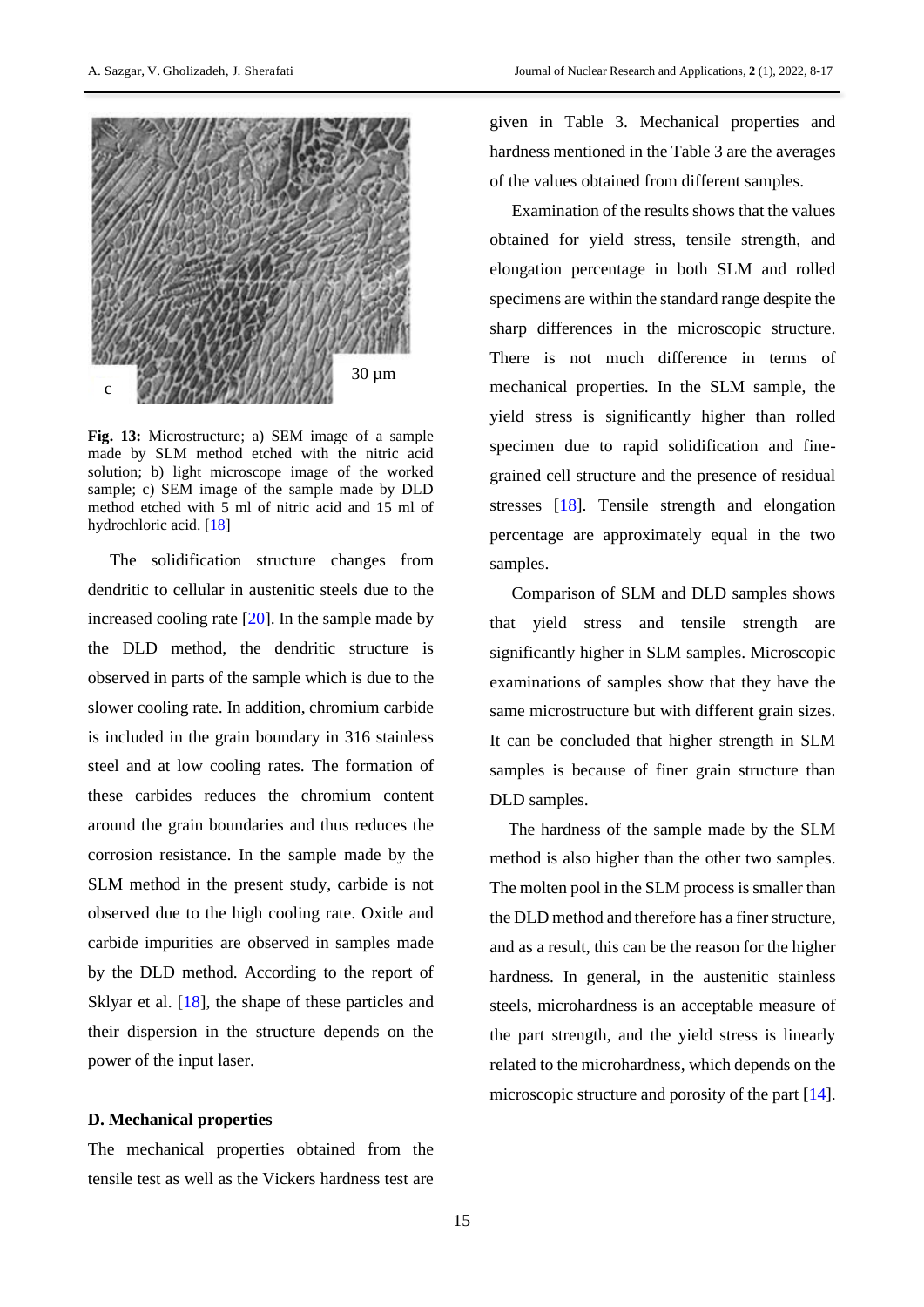

**Fig. 13:** Microstructure; a) SEM image of a sample made by SLM method etched with the nitric acid solution; b) light microscope image of the worked sample; c) SEM image of the sample made by DLD method etched with 5 ml of nitric acid and 15 ml of hydrochloric acid. [\[18\]](#page-9-11)

The solidification structure changes from dendritic to cellular in austenitic steels due to the increased cooling rate [\[20\]](#page-9-14). In the sample made by the DLD method, the dendritic structure is observed in parts of the sample which is due to the slower cooling rate. In addition, chromium carbide is included in the grain boundary in 316 stainless steel and at low cooling rates. The formation of these carbides reduces the chromium content around the grain boundaries and thus reduces the corrosion resistance. In the sample made by the SLM method in the present study, carbide is not observed due to the high cooling rate. Oxide and carbide impurities are observed in samples made by the DLD method. According to the report of Sklyar et al. [\[18\]](#page-9-11), the shape of these particles and their dispersion in the structure depends on the power of the input laser.

### **D. Mechanical properties**

The mechanical properties obtained from the tensile test as well as the Vickers hardness test are given in Table 3. Mechanical properties and hardness mentioned in the Table 3 are the averages of the values obtained from different samples.

Examination of the results shows that the values obtained for yield stress, tensile strength, and elongation percentage in both SLM and rolled specimens are within the standard range despite the sharp differences in the microscopic structure. There is not much difference in terms of mechanical properties. In the SLM sample, the yield stress is significantly higher than rolled specimen due to rapid solidification and finegrained cell structure and the presence of residual stresses [\[18\]](#page-9-11). Tensile strength and elongation percentage are approximately equal in the two samples.

Comparison of SLM and DLD samples shows that yield stress and tensile strength are significantly higher in SLM samples. Microscopic examinations of samples show that they have the same microstructure but with different grain sizes. It can be concluded that higher strength in SLM samples is because of finer grain structure than DLD samples.

The hardness of the sample made by the SLM method is also higher than the other two samples. The molten pool in the SLM process is smaller than the DLD method and therefore has a finer structure, and as a result, this can be the reason for the higher hardness. In general, in the austenitic stainless steels, microhardness is an acceptable measure of the part strength, and the yield stress is linearly related to the microhardness, which depends on the microscopic structure and porosity of the part [\[14\]](#page-9-7).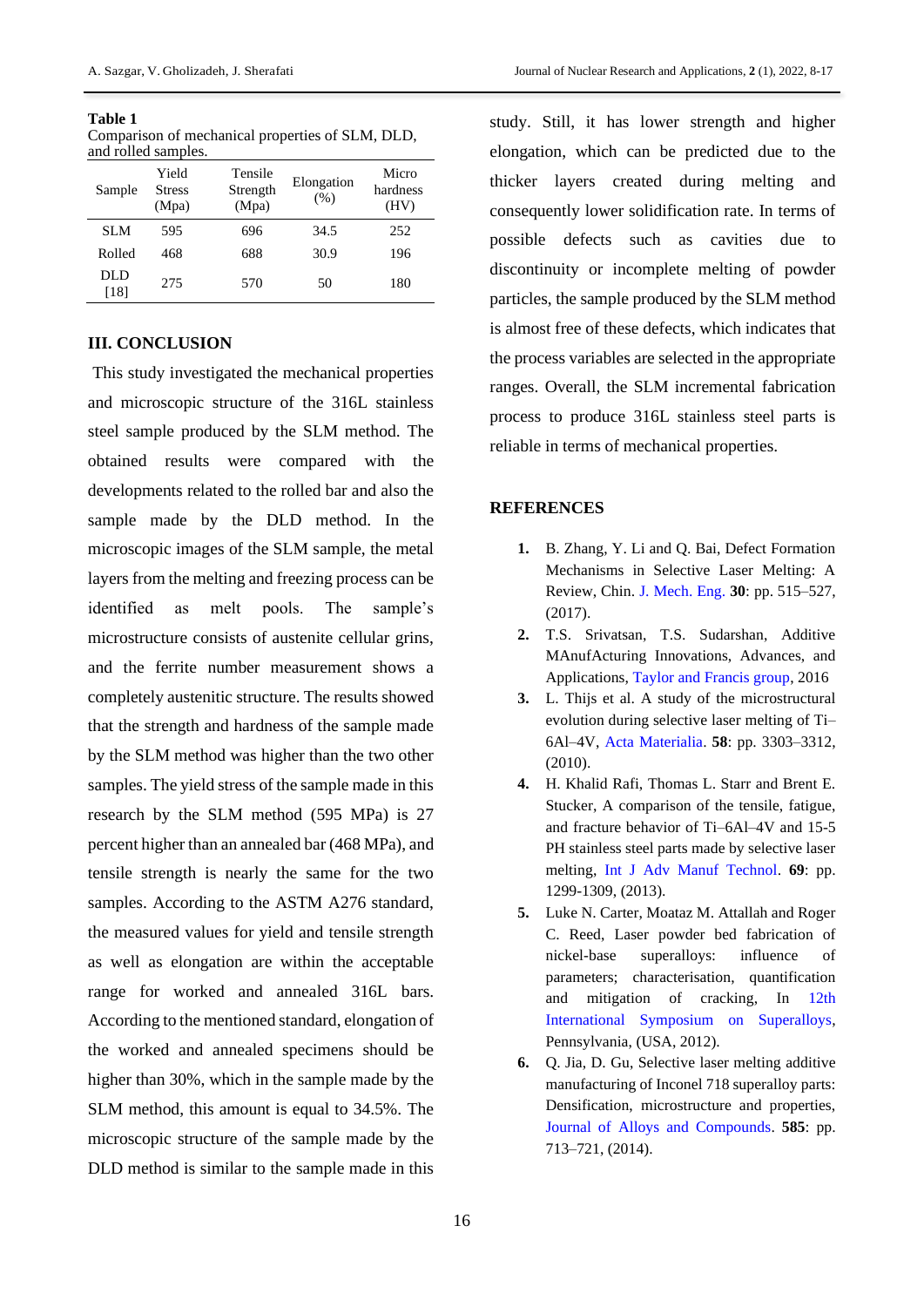| Table 1                                          |
|--------------------------------------------------|
| Comparison of mechanical properties of SLM, DLD, |
| and rolled samples.                              |

| Sample      | Yield<br><b>Stress</b><br>(Mpa) | Tensile<br>Strength<br>(Mpa) | Elongation<br>(% ) | Micro<br>hardness<br>(HV) |
|-------------|---------------------------------|------------------------------|--------------------|---------------------------|
| <b>SLM</b>  | 595                             | 696                          | 34.5               | 252                       |
| Rolled      | 468                             | 688                          | 30.9               | 196                       |
| DLD<br>[18] | 275                             | 570                          | 50                 | 180                       |

### **III. CONCLUSION**

This study investigated the mechanical properties and microscopic structure of the 316L stainless steel sample produced by the SLM method. The obtained results were compared with the developments related to the rolled bar and also the sample made by the DLD method. In the microscopic images of the SLM sample, the metal layers from the melting and freezing process can be identified as melt pools. The sample's microstructure consists of austenite cellular grins, and the ferrite number measurement shows a completely austenitic structure. The results showed that the strength and hardness of the sample made by the SLM method was higher than the two other samples. The yield stress of the sample made in this research by the SLM method (595 MPa) is 27 percent higher than an annealed bar (468 MPa), and tensile strength is nearly the same for the two samples. According to the ASTM A276 standard, the measured values for yield and tensile strength as well as elongation are within the acceptable range for worked and annealed 316L bars. According to the mentioned standard, elongation of the worked and annealed specimens should be higher than 30%, which in the sample made by the SLM method, this amount is equal to 34.5%. The microscopic structure of the sample made by the DLD method is similar to the sample made in this

study. Still, it has lower strength and higher elongation, which can be predicted due to the thicker layers created during melting and consequently lower solidification rate. In terms of possible defects such as cavities due to discontinuity or incomplete melting of powder particles, the sample produced by the SLM method is almost free of these defects, which indicates that the process variables are selected in the appropriate ranges. Overall, the SLM incremental fabrication process to produce 316L stainless steel parts is reliable in terms of mechanical properties.

### **REFERENCES**

- <span id="page-8-0"></span>**1.** B. Zhang, Y. Li and Q. Bai, Defect Formation Mechanisms in Selective Laser Melting: A Review, Chin. [J. Mech. Eng.](https://www.google.com/search?q=B.+Zhang%2C+Y.+Li+and+Q.+Bai%2C+Defect+Formation+%E2%80%8EMechanisms+in+Selective+Laser+Melting%3A+A+%E2%80%8EReview%2C+Chin.+J.+Mech.+Eng.+30%3A+pp.+515%E2%80%93527%2C+%E2%80%8E%E2%80%8E(2017).%E2%80%8E&oq=B.+Zhang%2C+Y.+Li+and+Q.+Bai%2C+Defect+Formation+%E2%80%8EMechanisms+in+Selective+Laser+Melting%3A+A+%E2%80%8EReview%2C+Chin.+J.+Mech.+Eng.+30%3A+pp.+515%E2%80%93527%2C+%E2%80%8E%E2%80%8E(2017).%E2%80%8E&aqs=chrome..69i57.1280j0j7&sourceid=chrome&ie=UTF-8) **30**: pp. 515–527, (2017).
- <span id="page-8-1"></span>**2.** T.S. Srivatsan, T.S. Sudarshan, Additive MAnufActuring Innovations, Advances, and Applications, [Taylor and Francis group,](https://www.google.com/search?q=T.S.+Srivatsan%2C+T.S.+Sudarshan%2C+Additive+%E2%80%8EMAnufActuring+Innovations%2C+Advances%2C+and+%E2%80%8EApplications%2C+Taylor+and+Francis+group%2C+2016%E2%80%8E&oq=T.S.+Srivatsan%2C+T.S.+Sudarshan%2C+Additive+%E2%80%8EMAnufActuring+Innovations%2C+Advances%2C+and+%E2%80%8EApplications%2C+Taylor+and+Francis+group%2C+2016%E2%80%8E&aqs=chrome..69i57.909j0j9&sourceid=chrome&ie=UTF-8) 2016
- <span id="page-8-2"></span>**3.** L. Thijs et al. A study of the microstructural evolution during selective laser melting of Ti– 6Al–4V, [Acta Materialia.](https://www.google.com/search?q=L.+Thijs+et+al.+A+study+of+the+microstructural+%E2%80%8Eevolution+during+selective+laser+melting+of+Ti%E2%80%93%E2%80%8E%E2%80%8E6Al%E2%80%934V%2C+Acta+Materialia.+58%3A+pp.+3303%E2%80%933312%2C+%E2%80%8E%E2%80%8E(2010).+%E2%80%8E&oq=L.+Thijs+et+al.+A+study+of+the+microstructural+%E2%80%8Eevolution+during+selective+laser+melting+of+Ti%E2%80%93%E2%80%8E%E2%80%8E6Al%E2%80%934V%2C+Acta+Materialia.+58%3A+pp.+3303%E2%80%933312%2C+%E2%80%8E%E2%80%8E(2010).+%E2%80%8E&aqs=chrome..69i57.660j0j9&sourceid=chrome&ie=UTF-8) **58**: pp. 3303–3312, (2010).
- <span id="page-8-3"></span>**4.** H. Khalid Rafi, Thomas L. Starr and Brent E. Stucker, A comparison of the tensile, fatigue, and fracture behavior of Ti–6Al–4V and 15-5 PH stainless steel parts made by selective laser melting, [Int J Adv Manuf Technol.](https://www.google.com/search?q=H.+Khalid+Rafi%2C+Thomas+L.+Starr+and+Brent+E.+%E2%80%8EStucker%2C+A+comparison+of+the+tensile%2C+fatigue%2C+and+%E2%80%8Efracture+behavior+of+Ti%E2%80%936Al%E2%80%934V+and+15-5+PH+%E2%80%8Estainless+steel+parts+made+by+selective+laser+%E2%80%8Emelting%2C+Int+J+Adv+Manuf+Technol.+69%3A+pp.+1299-%E2%80%8E%E2%80%8E1309%2C+(2013).%E2%80%8E&oq=H.+Khalid+Rafi%2C+Thomas+L.+Starr+and+Brent+E.+%E2%80%8EStucker%2C+A+comparison+of+the+tensile%2C+fatigue%2C+and+%E2%80%8Efracture+behavior+of+Ti%E2%80%936Al%E2%80%934V+and+15-5+PH+%E2%80%8Estainless+steel+parts+made+by+selective+laser+%E2%80%8Emelting%2C+Int+J+Adv+Manuf+Technol.+69%3A+pp.+1299-%E2%80%8E%E2%80%8E1309%2C+(2013).%E2%80%8E&aqs=chrome..69i57.847j0j9&sourceid=chrome&ie=UTF-8) **69**: pp. 1299-1309, (2013).
- <span id="page-8-4"></span>**5.** Luke N. Carter, Moataz M. Attallah and Roger C. Reed, Laser powder bed fabrication of nickel-base superalloys: influence of parameters; characterisation, quantification and mitigation of cracking, In [12th](https://www.google.com/search?q=Luke+N.+Carter%2C+Moataz+M.+Attallah+and+Roger+C.+%E2%80%8EReed%2C+Laser+powder+bed+fabrication+of+nickel-%E2%80%8Ebase+superalloys%3A+influence+of+parameters%3B+%E2%80%8Echaracterisation%2C+quantification+and+mitigation+of+%E2%80%8Ecracking%2C+In+12th+International+Symposium+on+%E2%80%8ESuperalloys%2C+Pennsylvania%2C+(USA%2C+2012).%E2%80%8E&oq=Luke+N.+Carter%2C+Moataz+M.+Attallah+and+Roger+C.+%E2%80%8EReed%2C+Laser+powder+bed+fabrication+of+nickel-%E2%80%8Ebase+superalloys%3A+influence+of+parameters%3B+%E2%80%8Echaracterisation%2C+quantification+and+mitigation+of+%E2%80%8Ecracking%2C+In+12th+International+Symposium+on+%E2%80%8ESuperalloys%2C+Pennsylvania%2C+(USA%2C+2012).%E2%80%8E&aqs=chrome..69i57.739j0j9&sourceid=chrome&ie=UTF-8)  [International Symposium on Superalloys,](https://www.google.com/search?q=Luke+N.+Carter%2C+Moataz+M.+Attallah+and+Roger+C.+%E2%80%8EReed%2C+Laser+powder+bed+fabrication+of+nickel-%E2%80%8Ebase+superalloys%3A+influence+of+parameters%3B+%E2%80%8Echaracterisation%2C+quantification+and+mitigation+of+%E2%80%8Ecracking%2C+In+12th+International+Symposium+on+%E2%80%8ESuperalloys%2C+Pennsylvania%2C+(USA%2C+2012).%E2%80%8E&oq=Luke+N.+Carter%2C+Moataz+M.+Attallah+and+Roger+C.+%E2%80%8EReed%2C+Laser+powder+bed+fabrication+of+nickel-%E2%80%8Ebase+superalloys%3A+influence+of+parameters%3B+%E2%80%8Echaracterisation%2C+quantification+and+mitigation+of+%E2%80%8Ecracking%2C+In+12th+International+Symposium+on+%E2%80%8ESuperalloys%2C+Pennsylvania%2C+(USA%2C+2012).%E2%80%8E&aqs=chrome..69i57.739j0j9&sourceid=chrome&ie=UTF-8) Pennsylvania, (USA, 2012).
- <span id="page-8-5"></span>**6.** Q. Jia, D. Gu, Selective laser melting additive manufacturing of Inconel 718 superalloy parts: Densification, microstructure and properties, [Journal of Alloys and Compounds.](https://www.google.com/search?q=Q.+Jia%2C+D.+Gu%2C+Selective+laser+melting+additive+%E2%80%8Emanufacturing+of+Inconel+718+superalloy+parts%3A+%E2%80%8EDensification%2C+microstructure+and+properties%2C+%E2%80%8EJournal+of+Alloys+and+Compounds.+585%3A+pp.+713%E2%80%93%E2%80%8E%E2%80%8E721%2C+(2014).%E2%80%8E&oq=Q.+Jia%2C+D.+Gu%2C+Selective+laser+melting+additive+%E2%80%8Emanufacturing+of+Inconel+718+superalloy+parts%3A+%E2%80%8EDensification%2C+microstructure+and+properties%2C+%E2%80%8EJournal+of+Alloys+and+Compounds.+585%3A+pp.+713%E2%80%93%E2%80%8E%E2%80%8E721%2C+(2014).%E2%80%8E&aqs=chrome..69i57.541j0j9&sourceid=chrome&ie=UTF-8) **585**: pp. 713–721, (2014).